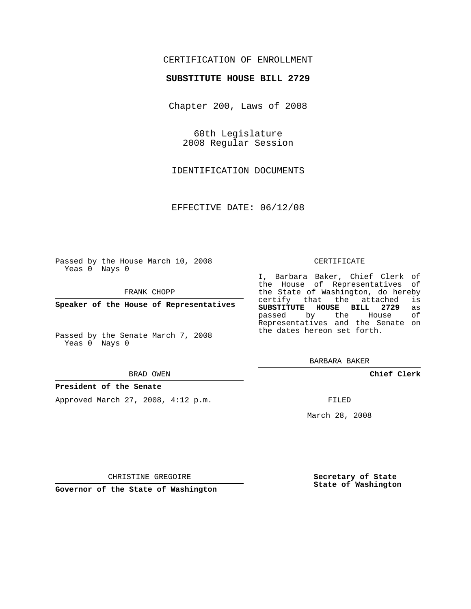# CERTIFICATION OF ENROLLMENT

## **SUBSTITUTE HOUSE BILL 2729**

Chapter 200, Laws of 2008

60th Legislature 2008 Regular Session

IDENTIFICATION DOCUMENTS

EFFECTIVE DATE: 06/12/08

Passed by the House March 10, 2008 Yeas 0 Nays 0

FRANK CHOPP

**Speaker of the House of Representatives**

Passed by the Senate March 7, 2008 Yeas 0 Nays 0

#### BRAD OWEN

### **President of the Senate**

Approved March 27, 2008, 4:12 p.m.

#### CERTIFICATE

I, Barbara Baker, Chief Clerk of the House of Representatives of the State of Washington, do hereby<br>certify that the attached is certify that the attached **SUBSTITUTE HOUSE BILL 2729** as passed by the House Representatives and the Senate on the dates hereon set forth.

BARBARA BAKER

**Chief Clerk**

FILED

March 28, 2008

CHRISTINE GREGOIRE

**Governor of the State of Washington**

**Secretary of State State of Washington**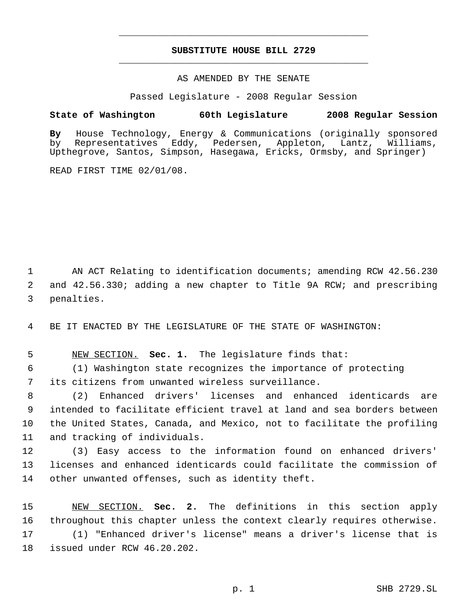# **SUBSTITUTE HOUSE BILL 2729** \_\_\_\_\_\_\_\_\_\_\_\_\_\_\_\_\_\_\_\_\_\_\_\_\_\_\_\_\_\_\_\_\_\_\_\_\_\_\_\_\_\_\_\_\_

\_\_\_\_\_\_\_\_\_\_\_\_\_\_\_\_\_\_\_\_\_\_\_\_\_\_\_\_\_\_\_\_\_\_\_\_\_\_\_\_\_\_\_\_\_

## AS AMENDED BY THE SENATE

Passed Legislature - 2008 Regular Session

# **State of Washington 60th Legislature 2008 Regular Session**

**By** House Technology, Energy & Communications (originally sponsored by Representatives Eddy, Pedersen, Appleton, Lantz, Upthegrove, Santos, Simpson, Hasegawa, Ericks, Ormsby, and Springer)

READ FIRST TIME 02/01/08.

 AN ACT Relating to identification documents; amending RCW 42.56.230 and 42.56.330; adding a new chapter to Title 9A RCW; and prescribing penalties.

BE IT ENACTED BY THE LEGISLATURE OF THE STATE OF WASHINGTON:

NEW SECTION. **Sec. 1.** The legislature finds that:

 (1) Washington state recognizes the importance of protecting its citizens from unwanted wireless surveillance.

 (2) Enhanced drivers' licenses and enhanced identicards are intended to facilitate efficient travel at land and sea borders between the United States, Canada, and Mexico, not to facilitate the profiling and tracking of individuals.

 (3) Easy access to the information found on enhanced drivers' licenses and enhanced identicards could facilitate the commission of other unwanted offenses, such as identity theft.

 NEW SECTION. **Sec. 2.** The definitions in this section apply throughout this chapter unless the context clearly requires otherwise. (1) "Enhanced driver's license" means a driver's license that is issued under RCW 46.20.202.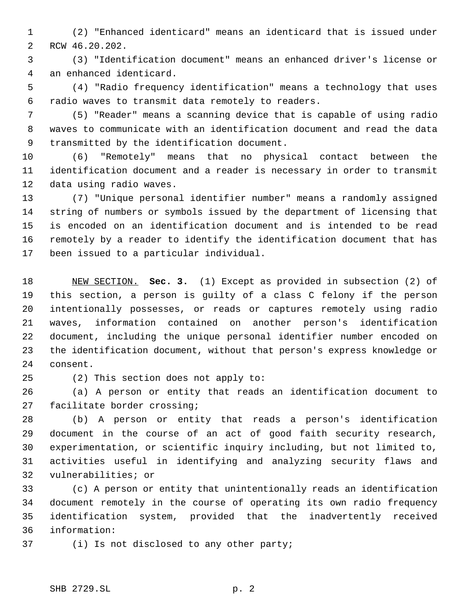(2) "Enhanced identicard" means an identicard that is issued under RCW 46.20.202.

 (3) "Identification document" means an enhanced driver's license or an enhanced identicard.

 (4) "Radio frequency identification" means a technology that uses radio waves to transmit data remotely to readers.

 (5) "Reader" means a scanning device that is capable of using radio waves to communicate with an identification document and read the data transmitted by the identification document.

 (6) "Remotely" means that no physical contact between the identification document and a reader is necessary in order to transmit data using radio waves.

 (7) "Unique personal identifier number" means a randomly assigned string of numbers or symbols issued by the department of licensing that is encoded on an identification document and is intended to be read remotely by a reader to identify the identification document that has been issued to a particular individual.

 NEW SECTION. **Sec. 3.** (1) Except as provided in subsection (2) of this section, a person is guilty of a class C felony if the person intentionally possesses, or reads or captures remotely using radio waves, information contained on another person's identification document, including the unique personal identifier number encoded on the identification document, without that person's express knowledge or consent.

(2) This section does not apply to:

 (a) A person or entity that reads an identification document to facilitate border crossing;

 (b) A person or entity that reads a person's identification document in the course of an act of good faith security research, experimentation, or scientific inquiry including, but not limited to, activities useful in identifying and analyzing security flaws and vulnerabilities; or

 (c) A person or entity that unintentionally reads an identification document remotely in the course of operating its own radio frequency identification system, provided that the inadvertently received information:

(i) Is not disclosed to any other party;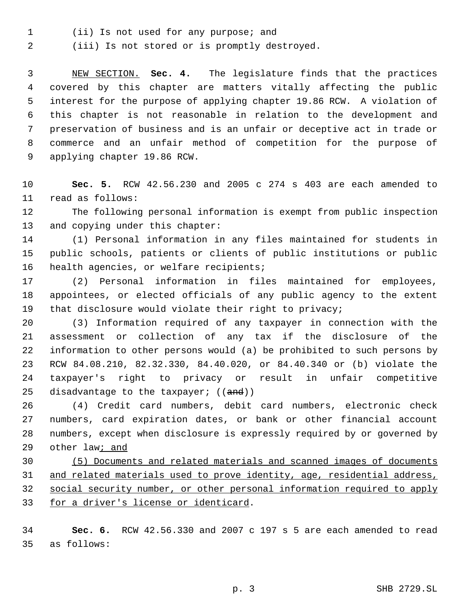(ii) Is not used for any purpose; and

(iii) Is not stored or is promptly destroyed.

 NEW SECTION. **Sec. 4.** The legislature finds that the practices covered by this chapter are matters vitally affecting the public interest for the purpose of applying chapter 19.86 RCW. A violation of this chapter is not reasonable in relation to the development and preservation of business and is an unfair or deceptive act in trade or commerce and an unfair method of competition for the purpose of applying chapter 19.86 RCW.

 **Sec. 5.** RCW 42.56.230 and 2005 c 274 s 403 are each amended to read as follows:

 The following personal information is exempt from public inspection and copying under this chapter:

 (1) Personal information in any files maintained for students in public schools, patients or clients of public institutions or public 16 health agencies, or welfare recipients;

 (2) Personal information in files maintained for employees, appointees, or elected officials of any public agency to the extent that disclosure would violate their right to privacy;

 (3) Information required of any taxpayer in connection with the assessment or collection of any tax if the disclosure of the information to other persons would (a) be prohibited to such persons by RCW 84.08.210, 82.32.330, 84.40.020, or 84.40.340 or (b) violate the taxpayer's right to privacy or result in unfair competitive 25 disadvantage to the taxpayer;  $((and))$ 

 (4) Credit card numbers, debit card numbers, electronic check numbers, card expiration dates, or bank or other financial account numbers, except when disclosure is expressly required by or governed by 29 other law; and

 (5) Documents and related materials and scanned images of documents 31 and related materials used to prove identity, age, residential address, social security number, or other personal information required to apply for a driver's license or identicard.

 **Sec. 6.** RCW 42.56.330 and 2007 c 197 s 5 are each amended to read as follows: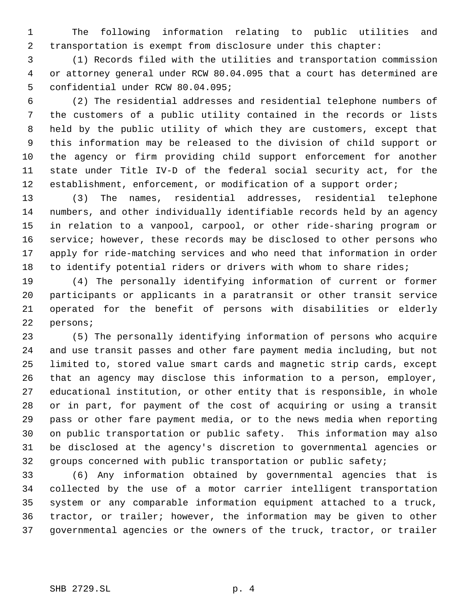The following information relating to public utilities and transportation is exempt from disclosure under this chapter:

 (1) Records filed with the utilities and transportation commission or attorney general under RCW 80.04.095 that a court has determined are confidential under RCW 80.04.095;

 (2) The residential addresses and residential telephone numbers of the customers of a public utility contained in the records or lists held by the public utility of which they are customers, except that this information may be released to the division of child support or the agency or firm providing child support enforcement for another state under Title IV-D of the federal social security act, for the 12 establishment, enforcement, or modification of a support order;

 (3) The names, residential addresses, residential telephone numbers, and other individually identifiable records held by an agency in relation to a vanpool, carpool, or other ride-sharing program or service; however, these records may be disclosed to other persons who apply for ride-matching services and who need that information in order to identify potential riders or drivers with whom to share rides;

 (4) The personally identifying information of current or former participants or applicants in a paratransit or other transit service operated for the benefit of persons with disabilities or elderly persons;

 (5) The personally identifying information of persons who acquire and use transit passes and other fare payment media including, but not limited to, stored value smart cards and magnetic strip cards, except that an agency may disclose this information to a person, employer, educational institution, or other entity that is responsible, in whole or in part, for payment of the cost of acquiring or using a transit pass or other fare payment media, or to the news media when reporting on public transportation or public safety. This information may also be disclosed at the agency's discretion to governmental agencies or groups concerned with public transportation or public safety;

 (6) Any information obtained by governmental agencies that is collected by the use of a motor carrier intelligent transportation system or any comparable information equipment attached to a truck, tractor, or trailer; however, the information may be given to other governmental agencies or the owners of the truck, tractor, or trailer